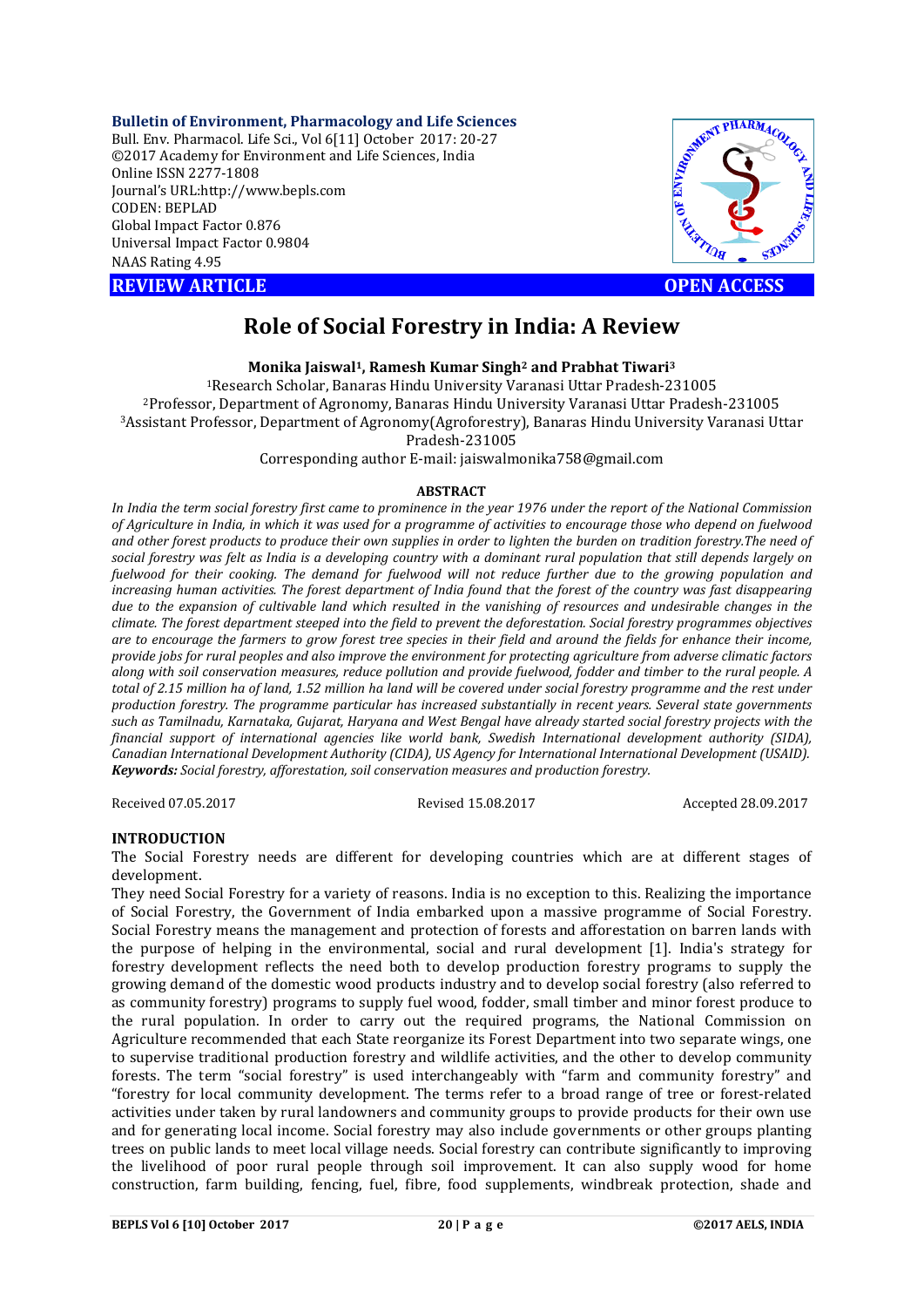**Bulletin of Environment, Pharmacology and Life Sciences** Bull. Env. Pharmacol. Life Sci., Vol 6[11] October 2017: 20-27 ©2017 Academy for Environment and Life Sciences, India Online ISSN 2277-1808 Journal's URL:http://www.bepls.com CODEN: BEPLAD Global Impact Factor 0.876 Universal Impact Factor 0.9804 NAAS Rating 4.95

**REVIEW ARTICLE CONSUMING A REVIEW ARTICLE** 



# **Role of Social Forestry in India: A Review**

**Monika Jaiswal1, Ramesh Kumar Singh2 and Prabhat Tiwari3**

1Research Scholar, Banaras Hindu University Varanasi Uttar Pradesh-231005 2Professor, Department of Agronomy, Banaras Hindu University Varanasi Uttar Pradesh-231005 3Assistant Professor, Department of Agronomy(Agroforestry), Banaras Hindu University Varanasi Uttar Pradesh-231005

Corresponding author E-mail: jaiswalmonika758@gmail.com

#### **ABSTRACT**

*In India the term social forestry first came to prominence in the year 1976 under the report of the National Commission of Agriculture in India, in which it was used for a programme of activities to encourage those who depend on fuelwood and other forest products to produce their own supplies in order to lighten the burden on tradition forestry.The need of social forestry was felt as India is a developing country with a dominant rural population that still depends largely on fuelwood for their cooking. The demand for fuelwood will not reduce further due to the growing population and increasing human activities. The forest department of India found that the forest of the country was fast disappearing due to the expansion of cultivable land which resulted in the vanishing of resources and undesirable changes in the climate. The forest department steeped into the field to prevent the deforestation. Social forestry programmes objectives are to encourage the farmers to grow forest tree species in their field and around the fields for enhance their income, provide jobs for rural peoples and also improve the environment for protecting agriculture from adverse climatic factors along with soil conservation measures, reduce pollution and provide fuelwood, fodder and timber to the rural people. A*  total of 2.15 million ha of land, 1.52 million ha land will be covered under social forestry programme and the rest under *production forestry. The programme particular has increased substantially in recent years. Several state governments such as Tamilnadu, Karnataka, Gujarat, Haryana and West Bengal have already started social forestry projects with the financial support of international agencies like world bank, Swedish International development authority (SIDA), Canadian International Development Authority (CIDA), US Agency for International International Development (USAID). Keywords: Social forestry, afforestation, soil conservation measures and production forestry.* 

Received 07.05.2017 Revised 15.08.2017 Accepted 28.09.2017

#### **INTRODUCTION**

The Social Forestry needs are different for developing countries which are at different stages of development.

They need Social Forestry for a variety of reasons. India is no exception to this. Realizing the importance of Social Forestry, the Government of India embarked upon a massive programme of Social Forestry. Social Forestry means the management and protection of forests and afforestation on barren lands with the purpose of helping in the environmental, social and rural development [1]. India's strategy for forestry development reflects the need both to develop production forestry programs to supply the growing demand of the domestic wood products industry and to develop social forestry (also referred to as community forestry) programs to supply fuel wood, fodder, small timber and minor forest produce to the rural population. In order to carry out the required programs, the National Commission on Agriculture recommended that each State reorganize its Forest Department into two separate wings, one to supervise traditional production forestry and wildlife activities, and the other to develop community forests. The term "social forestry" is used interchangeably with "farm and community forestry" and "forestry for local community development. The terms refer to a broad range of tree or forest-related activities under taken by rural landowners and community groups to provide products for their own use and for generating local income. Social forestry may also include governments or other groups planting trees on public lands to meet local village needs. Social forestry can contribute significantly to improving the livelihood of poor rural people through soil improvement. It can also supply wood for home construction, farm building, fencing, fuel, fibre, food supplements, windbreak protection, shade and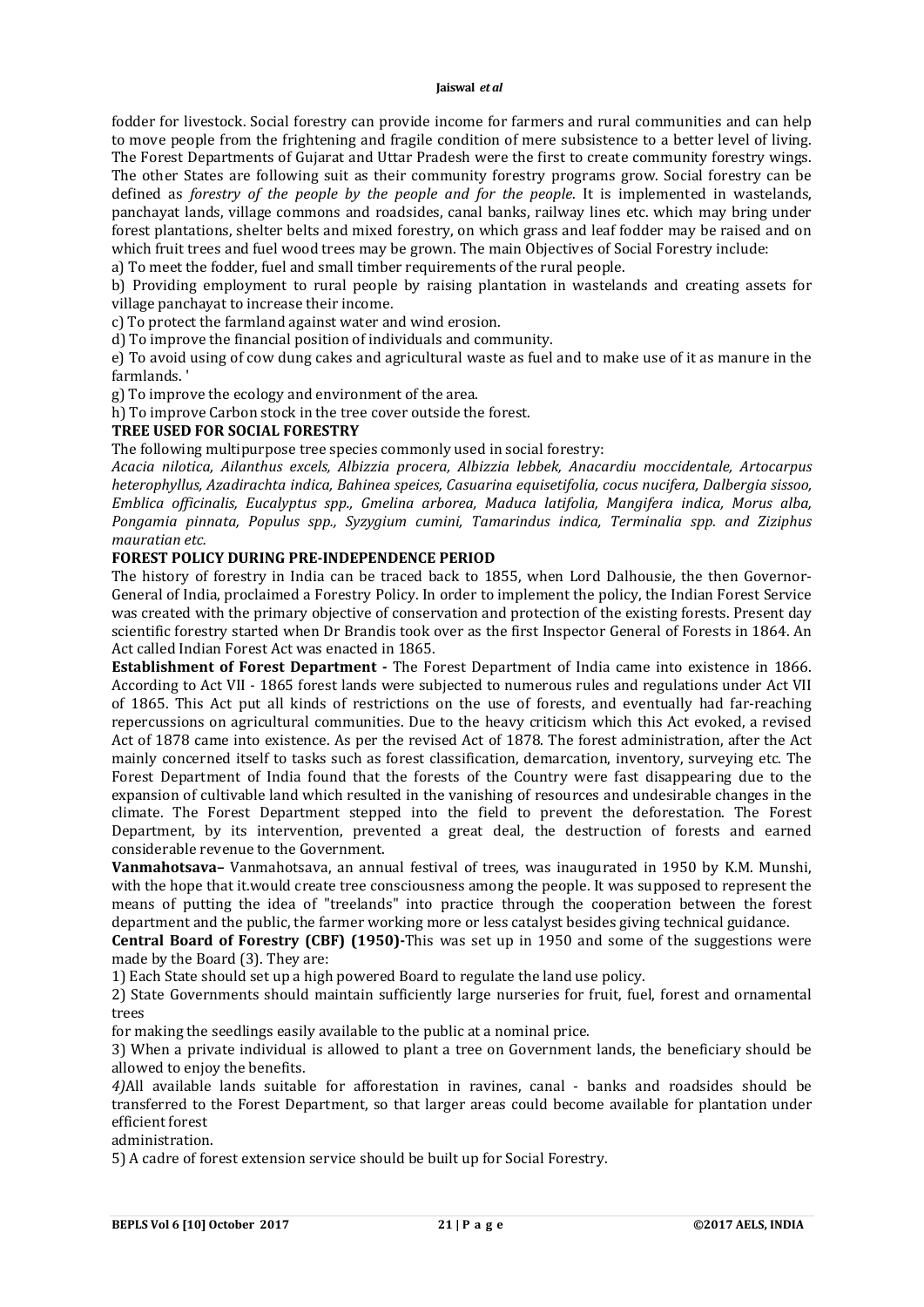fodder for livestock. Social forestry can provide income for farmers and rural communities and can help to move people from the frightening and fragile condition of mere subsistence to a better level of living. The Forest Departments of Gujarat and Uttar Pradesh were the first to create community forestry wings. The other States are following suit as their community forestry programs grow. Social forestry can be defined as *forestry of the people by the people and for the people*. It is implemented in wastelands, panchayat lands, village commons and roadsides, canal banks, railway lines etc. which may bring under forest plantations, shelter belts and mixed forestry, on which grass and leaf fodder may be raised and on which fruit trees and fuel wood trees may be grown. The main Objectives of Social Forestry include:

a) To meet the fodder, fuel and small timber requirements of the rural people.

b) Providing employment to rural people by raising plantation in wastelands and creating assets for village panchayat to increase their income.

c) To protect the farmland against water and wind erosion.

d) To improve the financial position of individuals and community.

e) To avoid using of cow dung cakes and agricultural waste as fuel and to make use of it as manure in the farmlands. '

g) To improve the ecology and environment of the area.

h) To improve Carbon stock in the tree cover outside the forest.

# **TREE USED FOR SOCIAL FORESTRY**

The following multipurpose tree species commonly used in social forestry:

*Acacia nilotica, Ailanthus excels, Albizzia procera, Albizzia lebbek, Anacardiu moccidentale, Artocarpus heterophyllus, Azadirachta indica, Bahinea speices, Casuarina equisetifolia, cocus nucifera, Dalbergia sissoo, Emblica officinalis, Eucalyptus spp., Gmelina arborea, Maduca latifolia, Mangifera indica, Morus alba, Pongamia pinnata, Populus spp., Syzygium cumini, Tamarindus indica, Terminalia spp. and Ziziphus mauratian etc.*

## **FOREST POLICY DURING PRE-INDEPENDENCE PERIOD**

The history of forestry in India can be traced back to 1855, when Lord Dalhousie, the then Governor-General of India, proclaimed a Forestry Policy. In order to implement the policy, the Indian Forest Service was created with the primary objective of conservation and protection of the existing forests. Present day scientific forestry started when Dr Brandis took over as the first Inspector General of Forests in 1864. An Act called Indian Forest Act was enacted in 1865.

**Establishment of Forest Department -** The Forest Department of India came into existence in 1866. According to Act VII - 1865 forest lands were subjected to numerous rules and regulations under Act VII of 1865. This Act put all kinds of restrictions on the use of forests, and eventually had far-reaching repercussions on agricultural communities. Due to the heavy criticism which this Act evoked, a revised Act of 1878 came into existence. As per the revised Act of 1878. The forest administration, after the Act mainly concerned itself to tasks such as forest classification, demarcation, inventory, surveying etc. The Forest Department of India found that the forests of the Country were fast disappearing due to the expansion of cultivable land which resulted in the vanishing of resources and undesirable changes in the climate. The Forest Department stepped into the field to prevent the deforestation. The Forest Department, by its intervention, prevented a great deal, the destruction of forests and earned considerable revenue to the Government.

**Vanmahotsava–** Vanmahotsava, an annual festival of trees, was inaugurated in 1950 by K.M. Munshi, with the hope that it.would create tree consciousness among the people. It was supposed to represent the means of putting the idea of "treelands" into practice through the cooperation between the forest department and the public, the farmer working more or less catalyst besides giving technical guidance.

**Central Board of Forestry (CBF) (1950)-**This was set up in 1950 and some of the suggestions were made by the Board (3). They are:

1) Each State should set up a high powered Board to regulate the land use policy.

2) State Governments should maintain sufficiently large nurseries for fruit, fuel, forest and ornamental trees

for making the seedlings easily available to the public at a nominal price.

3) When a private individual is allowed to plant a tree on Government lands, the beneficiary should be allowed to enjoy the benefits.

*4)*All available lands suitable for afforestation in ravines, canal - banks and roadsides should be transferred to the Forest Department, so that larger areas could become available for plantation under efficient forest

administration.

5) A cadre of forest extension service should be built up for Social Forestry.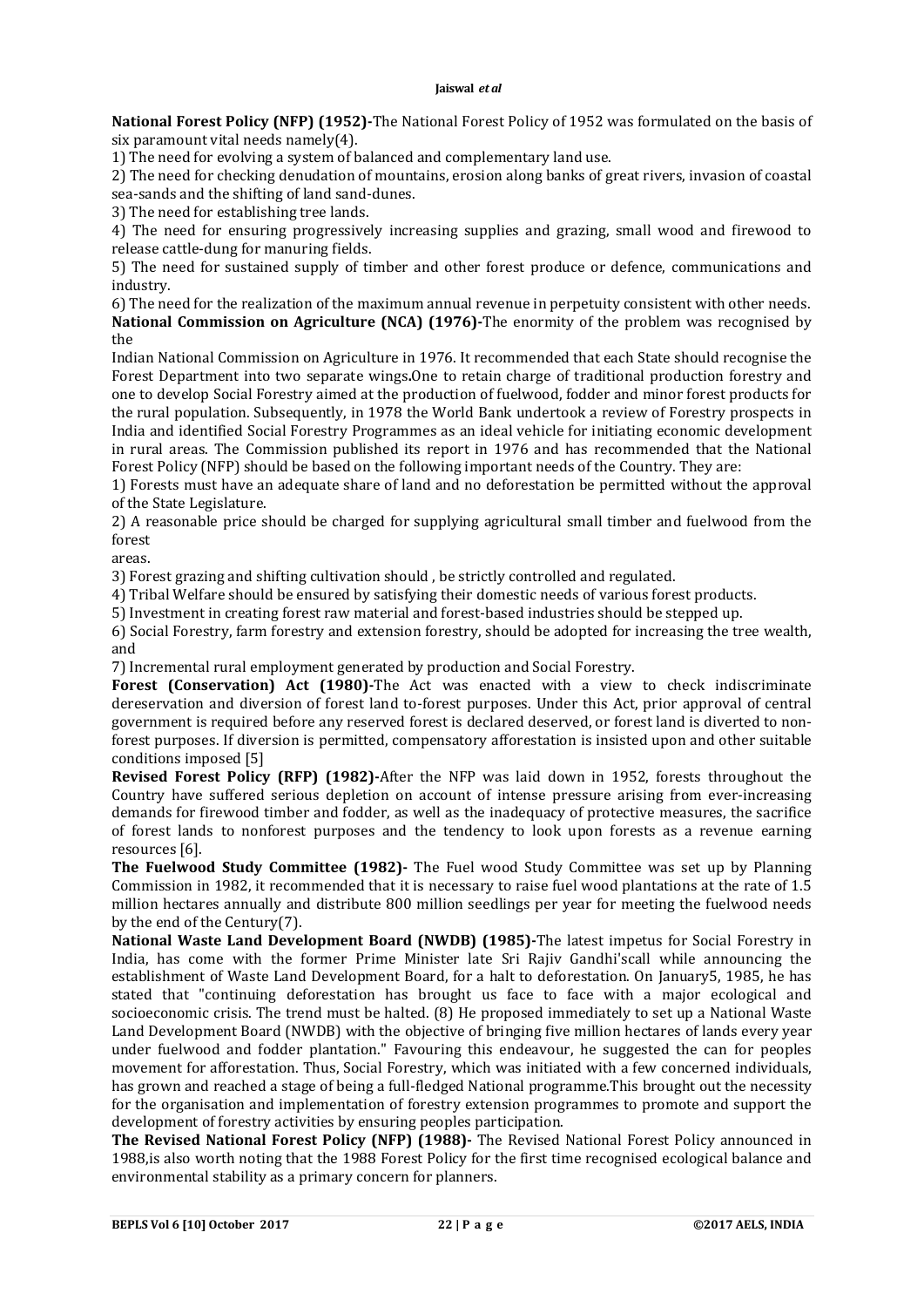**National Forest Policy (NFP) (1952)-**The National Forest Policy of 1952 was formulated on the basis of six paramount vital needs namely(4).

1) The need for evolving a system of balanced and complementary land use.

2) The need for checking denudation of mountains, erosion along banks of great rivers, invasion of coastal sea-sands and the shifting of land sand-dunes.

3) The need for establishing tree lands.

4) The need for ensuring progressively increasing supplies and grazing, small wood and firewood to release cattle-dung for manuring fields.

5) The need for sustained supply of timber and other forest produce or defence, communications and industry.

6) The need for the realization of the maximum annual revenue in perpetuity consistent with other needs. **National Commission on Agriculture (NCA) (1976)-**The enormity of the problem was recognised by the

Indian National Commission on Agriculture in 1976. It recommended that each State should recognise the Forest Department into two separate wings**.**One to retain charge of traditional production forestry and one to develop Social Forestry aimed at the production of fuelwood, fodder and minor forest products for the rural population. Subsequently, in 1978 the World Bank undertook a review of Forestry prospects in India and identified Social Forestry Programmes as an ideal vehicle for initiating economic development in rural areas. The Commission published its report in 1976 and has recommended that the National Forest Policy (NFP) should be based on the following important needs of the Country. They are:

1) Forests must have an adequate share of land and no deforestation be permitted without the approval of the State Legislature.

2) A reasonable price should be charged for supplying agricultural small timber and fuelwood from the forest

areas.

3) Forest grazing and shifting cultivation should , be strictly controlled and regulated.

4) Tribal Welfare should be ensured by satisfying their domestic needs of various forest products.

5) Investment in creating forest raw material and forest-based industries should be stepped up.

6) Social Forestry, farm forestry and extension forestry, should be adopted for increasing the tree wealth, and

7) Incremental rural employment generated by production and Social Forestry.

**Forest (Conservation) Act (1980)-**The Act was enacted with a view to check indiscriminate dereservation and diversion of forest land to-forest purposes. Under this Act, prior approval of central government is required before any reserved forest is declared deserved, or forest land is diverted to nonforest purposes. If diversion is permitted, compensatory afforestation is insisted upon and other suitable conditions imposed [5]

**Revised Forest Policy (RFP) (1982)-**After the NFP was laid down in 1952, forests throughout the Country have suffered serious depletion on account of intense pressure arising from ever-increasing demands for firewood timber and fodder, as well as the inadequacy of protective measures, the sacrifice of forest lands to nonforest purposes and the tendency to look upon forests as a revenue earning resources [6].

**The Fuelwood Study Committee (1982)-** The Fuel wood Study Committee was set up by Planning Commission in 1982, it recommended that it is necessary to raise fuel wood plantations at the rate of 1.5 million hectares annually and distribute 800 million seedlings per year for meeting the fuelwood needs by the end of the Century(7).

**National Waste Land Development Board (NWDB) (1985)-**The latest impetus for Social Forestry in India, has come with the former Prime Minister late Sri Rajiv Gandhi'scall while announcing the establishment of Waste Land Development Board, for a halt to deforestation. On January5, 1985, he has stated that "continuing deforestation has brought us face to face with a major ecological and socioeconomic crisis. The trend must be halted. (8) He proposed immediately to set up a National Waste Land Development Board (NWDB) with the objective of bringing five million hectares of lands every year under fuelwood and fodder plantation." Favouring this endeavour, he suggested the can for peoples movement for afforestation. Thus, Social Forestry, which was initiated with a few concerned individuals, has grown and reached a stage of being a full-fledged National programme.This brought out the necessity for the organisation and implementation of forestry extension programmes to promote and support the development of forestry activities by ensuring peoples participation.

**The Revised National Forest Policy (NFP) (1988)-** The Revised National Forest Policy announced in 1988,is also worth noting that the 1988 Forest Policy for the first time recognised ecological balance and environmental stability as a primary concern for planners.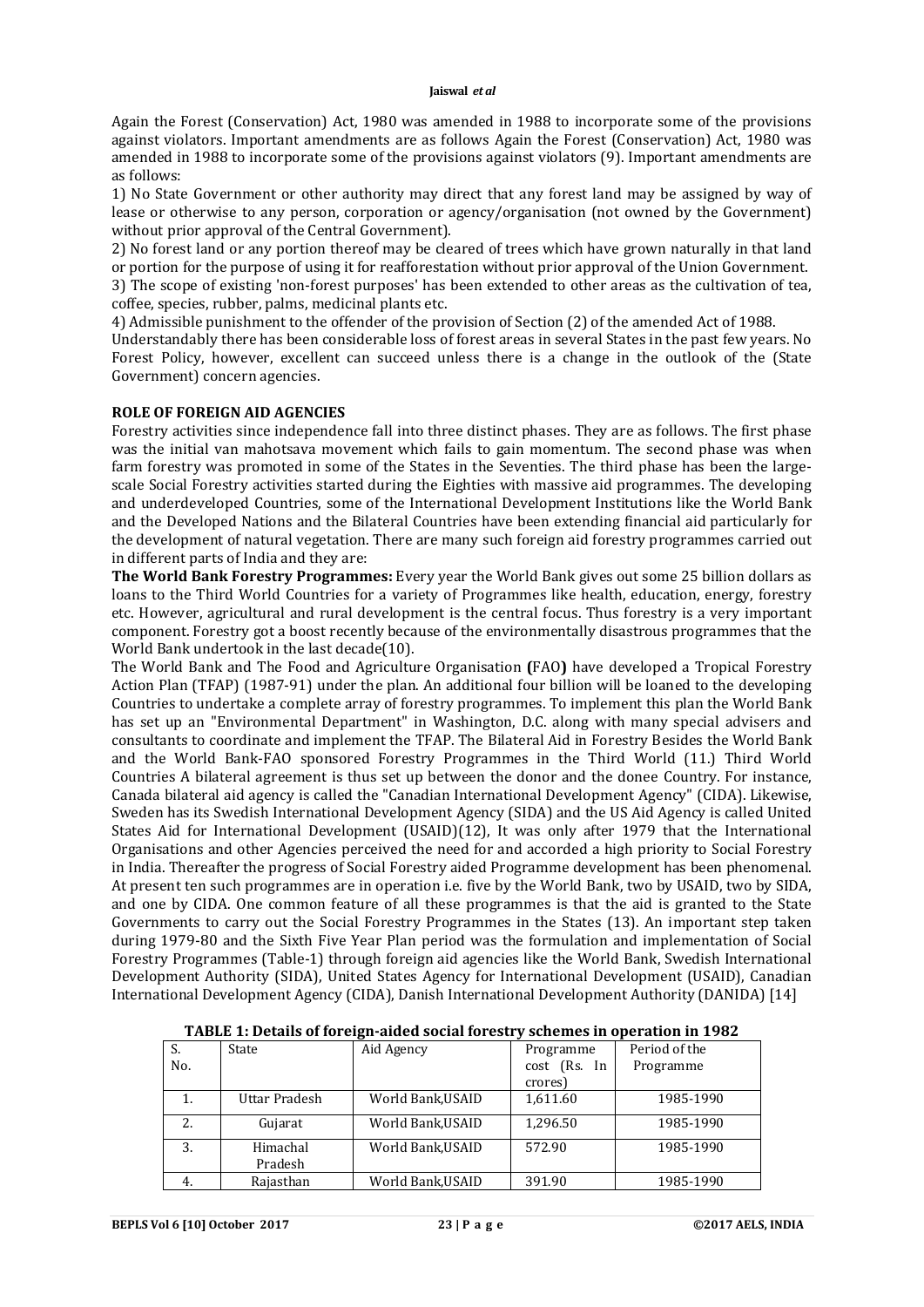Again the Forest (Conservation) Act, 1980 was amended in 1988 to incorporate some of the provisions against violators. Important amendments are as follows Again the Forest (Conservation) Act, 1980 was amended in 1988 to incorporate some of the provisions against violators (9). Important amendments are as follows:

1) No State Government or other authority may direct that any forest land may be assigned by way of lease or otherwise to any person, corporation or agency/organisation (not owned by the Government) without prior approval of the Central Government).

2) No forest land or any portion thereof may be cleared of trees which have grown naturally in that land or portion for the purpose of using it for reafforestation without prior approval of the Union Government.

3) The scope of existing 'non-forest purposes' has been extended to other areas as the cultivation of tea, coffee, species, rubber, palms, medicinal plants etc.

4) Admissible punishment to the offender of the provision of Section (2) of the amended Act of 1988.

Understandably there has been considerable loss of forest areas in several States in the past few years. No Forest Policy, however, excellent can succeed unless there is a change in the outlook of the (State Government) concern agencies.

## **ROLE OF FOREIGN AID AGENCIES**

Forestry activities since independence fall into three distinct phases. They are as follows. The first phase was the initial van mahotsava movement which fails to gain momentum. The second phase was when farm forestry was promoted in some of the States in the Seventies. The third phase has been the largescale Social Forestry activities started during the Eighties with massive aid programmes. The developing and underdeveloped Countries, some of the International Development Institutions like the World Bank and the Developed Nations and the Bilateral Countries have been extending financial aid particularly for the development of natural vegetation. There are many such foreign aid forestry programmes carried out in different parts of India and they are:

**The World Bank Forestry Programmes:** Every year the World Bank gives out some 25 billion dollars as loans to the Third World Countries for a variety of Programmes like health, education, energy, forestry etc. However, agricultural and rural development is the central focus. Thus forestry is a very important component. Forestry got a boost recently because of the environmentally disastrous programmes that the World Bank undertook in the last decade(10).

The World Bank and The Food and Agriculture Organisation **(**FAO**)** have developed a Tropical Forestry Action Plan (TFAP) (1987-91) under the plan. An additional four billion will be loaned to the developing Countries to undertake a complete array of forestry programmes. To implement this plan the World Bank has set up an "Environmental Department" in Washington, D.C. along with many special advisers and consultants to coordinate and implement the TFAP. The Bilateral Aid in Forestry Besides the World Bank and the World Bank-FAO sponsored Forestry Programmes in the Third World (11.) Third World Countries A bilateral agreement is thus set up between the donor and the donee Country. For instance, Canada bilateral aid agency is called the "Canadian International Development Agency" (CIDA). Likewise, Sweden has its Swedish International Development Agency (SIDA) and the US Aid Agency is called United States Aid for International Development (USAID)(12), It was only after 1979 that the International Organisations and other Agencies perceived the need for and accorded a high priority to Social Forestry in India. Thereafter the progress of Social Forestry aided Programme development has been phenomenal. At present ten such programmes are in operation i.e. five by the World Bank, two by USAID, two by SIDA, and one by CIDA. One common feature of all these programmes is that the aid is granted to the State Governments to carry out the Social Forestry Programmes in the States (13). An important step taken during 1979-80 and the Sixth Five Year Plan period was the formulation and implementation of Social Forestry Programmes (Table-1) through foreign aid agencies like the World Bank, Swedish International Development Authority (SIDA), United States Agency for International Development (USAID), Canadian International Development Agency (CIDA), Danish International Development Authority (DANIDA) [14]

| S.  | State         | Aid Agency        | Programme    | Period of the |
|-----|---------------|-------------------|--------------|---------------|
| No. |               |                   | cost (Rs. In | Programme     |
|     |               |                   | crores)      |               |
|     | Uttar Pradesh | World Bank, USAID | 1,611.60     | 1985-1990     |
| 2.  | Gujarat       | World Bank, USAID | 1,296.50     | 1985-1990     |
| 3.  | Himachal      | World Bank, USAID | 572.90       | 1985-1990     |
|     | Pradesh       |                   |              |               |
| 4.  | Rajasthan     | World Bank, USAID | 391.90       | 1985-1990     |

**TABLE 1: Details of foreign-aided social forestry schemes in operation in 1982**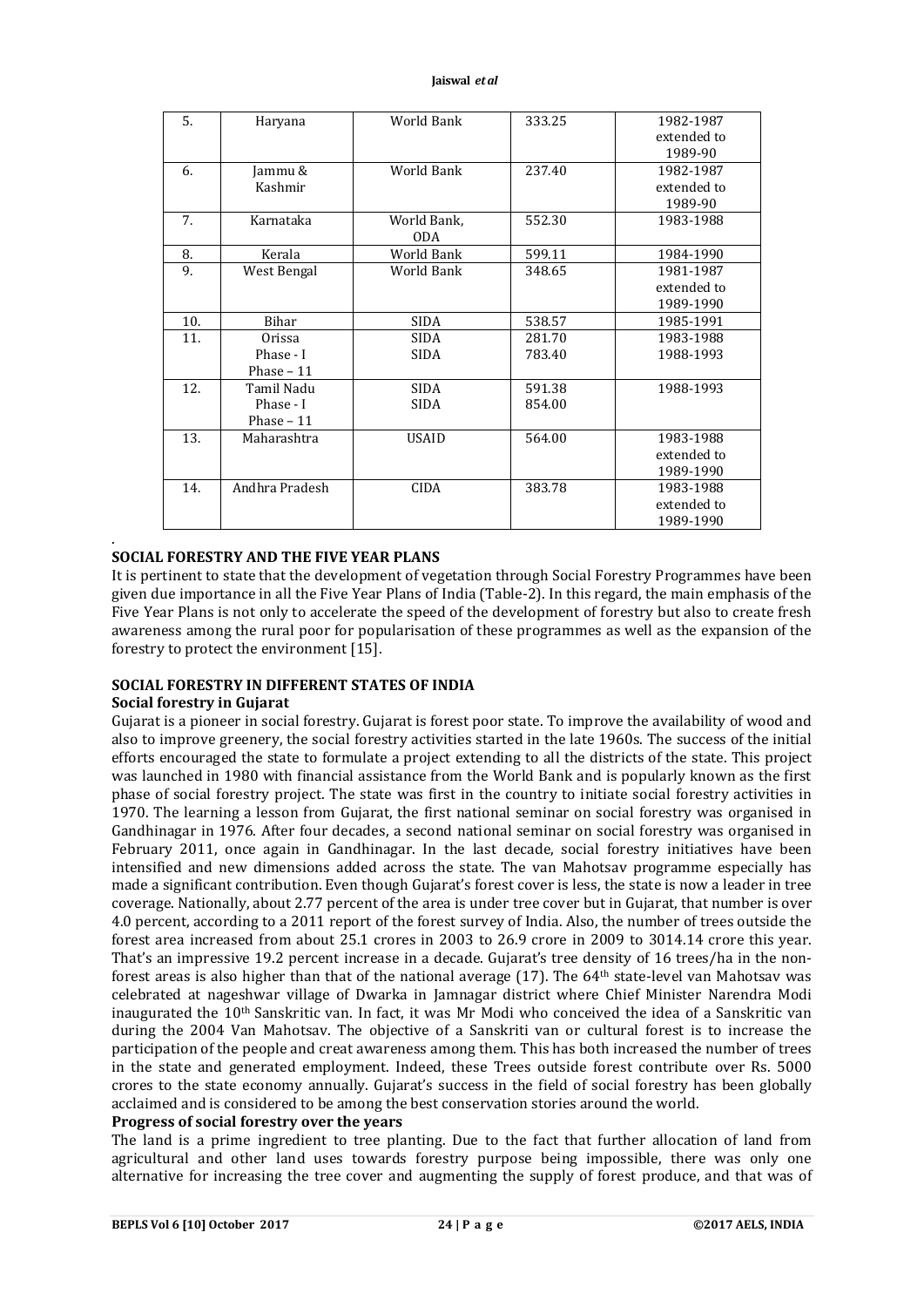| 5.  | Haryana        | World Bank   | 333.25 | 1982-1987   |
|-----|----------------|--------------|--------|-------------|
|     |                |              |        | extended to |
|     |                |              |        | 1989-90     |
| 6.  | Jammu &        | World Bank   | 237.40 | 1982-1987   |
|     | Kashmir        |              |        | extended to |
|     |                |              |        | 1989-90     |
| 7.  | Karnataka      | World Bank,  | 552.30 | 1983-1988   |
|     |                | <b>ODA</b>   |        |             |
| 8.  | Kerala         | World Bank   | 599.11 | 1984-1990   |
| 9.  | West Bengal    | World Bank   | 348.65 | 1981-1987   |
|     |                |              |        | extended to |
|     |                |              |        | 1989-1990   |
| 10. | Bihar          | <b>SIDA</b>  | 538.57 | 1985-1991   |
| 11. | Orissa         | <b>SIDA</b>  | 281.70 | 1983-1988   |
|     | Phase - I      | <b>SIDA</b>  | 783.40 | 1988-1993   |
|     | Phase $-11$    |              |        |             |
| 12. | Tamil Nadu     | <b>SIDA</b>  | 591.38 | 1988-1993   |
|     | Phase - I      | <b>SIDA</b>  | 854.00 |             |
|     | Phase $-11$    |              |        |             |
| 13. | Maharashtra    | <b>USAID</b> | 564.00 | 1983-1988   |
|     |                |              |        | extended to |
|     |                |              |        | 1989-1990   |
| 14. | Andhra Pradesh | CIDA         | 383.78 | 1983-1988   |
|     |                |              |        | extended to |
|     |                |              |        | 1989-1990   |

#### **SOCIAL FORESTRY AND THE FIVE YEAR PLANS**

It is pertinent to state that the development of vegetation through Social Forestry Programmes have been given due importance in all the Five Year Plans of India (Table-2). In this regard, the main emphasis of the Five Year Plans is not only to accelerate the speed of the development of forestry but also to create fresh awareness among the rural poor for popularisation of these programmes as well as the expansion of the forestry to protect the environment [15].

#### **SOCIAL FORESTRY IN DIFFERENT STATES OF INDIA**

# **Social forestry in Gujarat**

.

Gujarat is a pioneer in social forestry. Gujarat is forest poor state. To improve the availability of wood and also to improve greenery, the social forestry activities started in the late 1960s. The success of the initial efforts encouraged the state to formulate a project extending to all the districts of the state. This project was launched in 1980 with financial assistance from the World Bank and is popularly known as the first phase of social forestry project. The state was first in the country to initiate social forestry activities in 1970. The learning a lesson from Gujarat, the first national seminar on social forestry was organised in Gandhinagar in 1976. After four decades, a second national seminar on social forestry was organised in February 2011, once again in Gandhinagar. In the last decade, social forestry initiatives have been intensified and new dimensions added across the state. The van Mahotsav programme especially has made a significant contribution. Even though Gujarat's forest cover is less, the state is now a leader in tree coverage. Nationally, about 2.77 percent of the area is under tree cover but in Gujarat, that number is over 4.0 percent, according to a 2011 report of the forest survey of India. Also, the number of trees outside the forest area increased from about 25.1 crores in 2003 to 26.9 crore in 2009 to 3014.14 crore this year. That's an impressive 19.2 percent increase in a decade. Gujarat's tree density of 16 trees/ha in the nonforest areas is also higher than that of the national average (17). The 64th state-level van Mahotsav was celebrated at nageshwar village of Dwarka in Jamnagar district where Chief Minister Narendra Modi inaugurated the 10th Sanskritic van. In fact, it was Mr Modi who conceived the idea of a Sanskritic van during the 2004 Van Mahotsav. The objective of a Sanskriti van or cultural forest is to increase the participation of the people and creat awareness among them. This has both increased the number of trees in the state and generated employment. Indeed, these Trees outside forest contribute over Rs. 5000 crores to the state economy annually. Gujarat's success in the field of social forestry has been globally acclaimed and is considered to be among the best conservation stories around the world.

# **Progress of social forestry over the years**

The land is a prime ingredient to tree planting. Due to the fact that further allocation of land from agricultural and other land uses towards forestry purpose being impossible, there was only one alternative for increasing the tree cover and augmenting the supply of forest produce, and that was of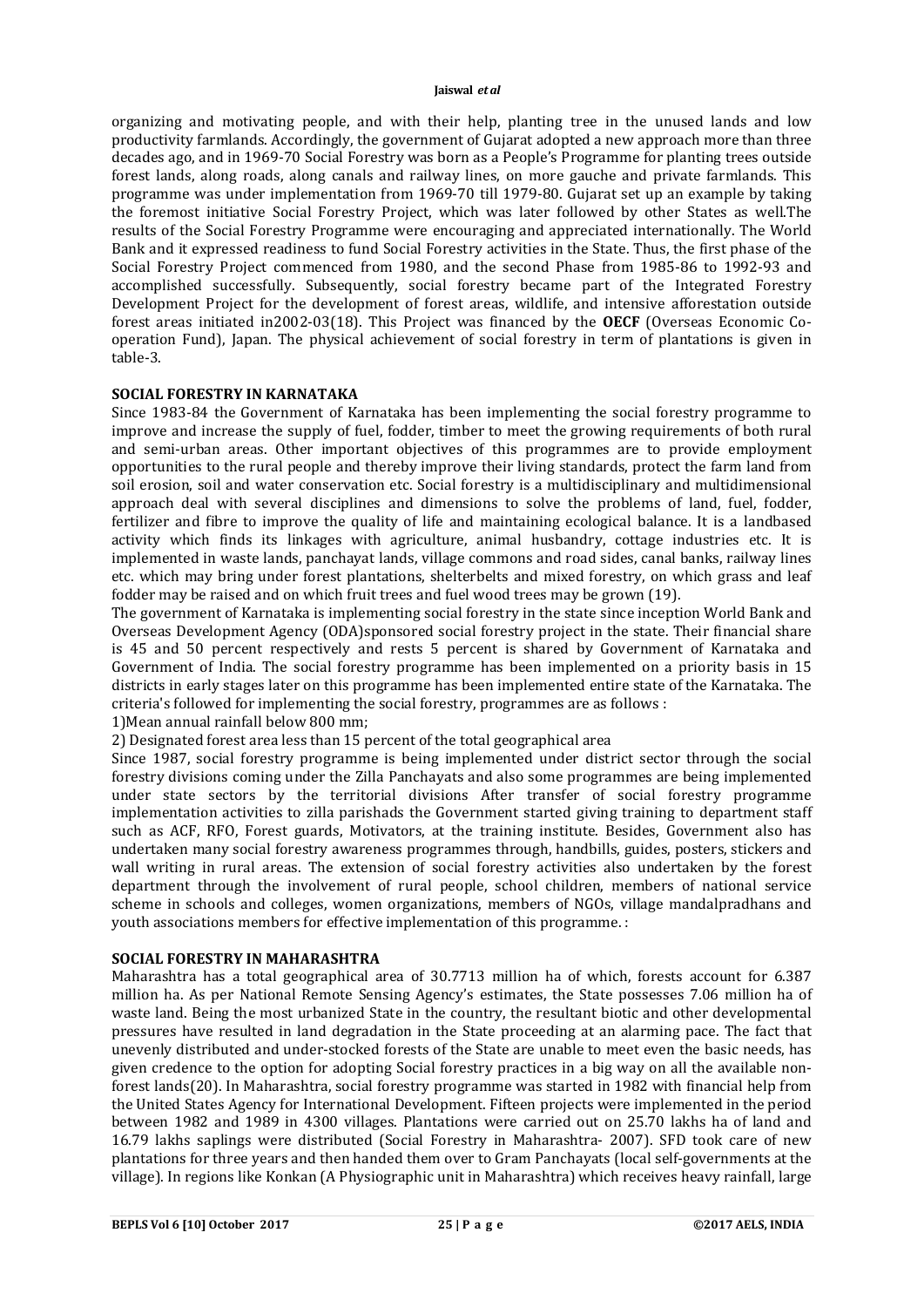organizing and motivating people, and with their help, planting tree in the unused lands and low productivity farmlands. Accordingly, the government of Gujarat adopted a new approach more than three decades ago, and in 1969-70 Social Forestry was born as a People's Programme for planting trees outside forest lands, along roads, along canals and railway lines, on more gauche and private farmlands. This programme was under implementation from 1969-70 till 1979-80. Gujarat set up an example by taking the foremost initiative Social Forestry Project, which was later followed by other States as well.The results of the Social Forestry Programme were encouraging and appreciated internationally. The World Bank and it expressed readiness to fund Social Forestry activities in the State. Thus, the first phase of the Social Forestry Project commenced from 1980, and the second Phase from 1985-86 to 1992-93 and accomplished successfully. Subsequently, social forestry became part of the Integrated Forestry Development Project for the development of forest areas, wildlife, and intensive afforestation outside forest areas initiated in2002-03(18). This Project was financed by the **OECF** (Overseas Economic Cooperation Fund), Japan. The physical achievement of social forestry in term of plantations is given in table-3.

#### **SOCIAL FORESTRY IN KARNATAKA**

Since 1983-84 the Government of Karnataka has been implementing the social forestry programme to improve and increase the supply of fuel, fodder, timber to meet the growing requirements of both rural and semi-urban areas. Other important objectives of this programmes are to provide employment opportunities to the rural people and thereby improve their living standards, protect the farm land from soil erosion, soil and water conservation etc. Social forestry is a multidisciplinary and multidimensional approach deal with several disciplines and dimensions to solve the problems of land, fuel, fodder, fertilizer and fibre to improve the quality of life and maintaining ecological balance. It is a landbased activity which finds its linkages with agriculture, animal husbandry, cottage industries etc. It is implemented in waste lands, panchayat lands, village commons and road sides, canal banks, railway lines etc. which may bring under forest plantations, shelterbelts and mixed forestry, on which grass and leaf fodder may be raised and on which fruit trees and fuel wood trees may be grown (19).

The government of Karnataka is implementing social forestry in the state since inception World Bank and Overseas Development Agency (ODA)sponsored social forestry project in the state. Their financial share is 45 and 50 percent respectively and rests 5 percent is shared by Government of Karnataka and Government of India. The social forestry programme has been implemented on a priority basis in 15 districts in early stages later on this programme has been implemented entire state of the Karnataka. The criteria's followed for implementing the social forestry, programmes are as follows :

1)Mean annual rainfall below 800 mm;

2) Designated forest area less than 15 percent of the total geographical area

Since 1987, social forestry programme is being implemented under district sector through the social forestry divisions coming under the Zilla Panchayats and also some programmes are being implemented under state sectors by the territorial divisions After transfer of social forestry programme implementation activities to zilla parishads the Government started giving training to department staff such as ACF, RFO, Forest guards, Motivators, at the training institute. Besides, Government also has undertaken many social forestry awareness programmes through, handbills, guides, posters, stickers and wall writing in rural areas. The extension of social forestry activities also undertaken by the forest department through the involvement of rural people, school children, members of national service scheme in schools and colleges, women organizations, members of NGOs, village mandalpradhans and youth associations members for effective implementation of this programme. :

#### **SOCIAL FORESTRY IN MAHARASHTRA**

Maharashtra has a total geographical area of 30.7713 million ha of which, forests account for 6.387 million ha. As per National Remote Sensing Agency's estimates, the State possesses 7.06 million ha of waste land. Being the most urbanized State in the country, the resultant biotic and other developmental pressures have resulted in land degradation in the State proceeding at an alarming pace. The fact that unevenly distributed and under-stocked forests of the State are unable to meet even the basic needs, has given credence to the option for adopting Social forestry practices in a big way on all the available nonforest lands(20). In Maharashtra, social forestry programme was started in 1982 with financial help from the United States Agency for International Development. Fifteen projects were implemented in the period between 1982 and 1989 in 4300 villages. Plantations were carried out on 25.70 lakhs ha of land and 16.79 lakhs saplings were distributed (Social Forestry in Maharashtra- 2007). SFD took care of new plantations for three years and then handed them over to Gram Panchayats (local self-governments at the village). In regions like Konkan (A Physiographic unit in Maharashtra) which receives heavy rainfall, large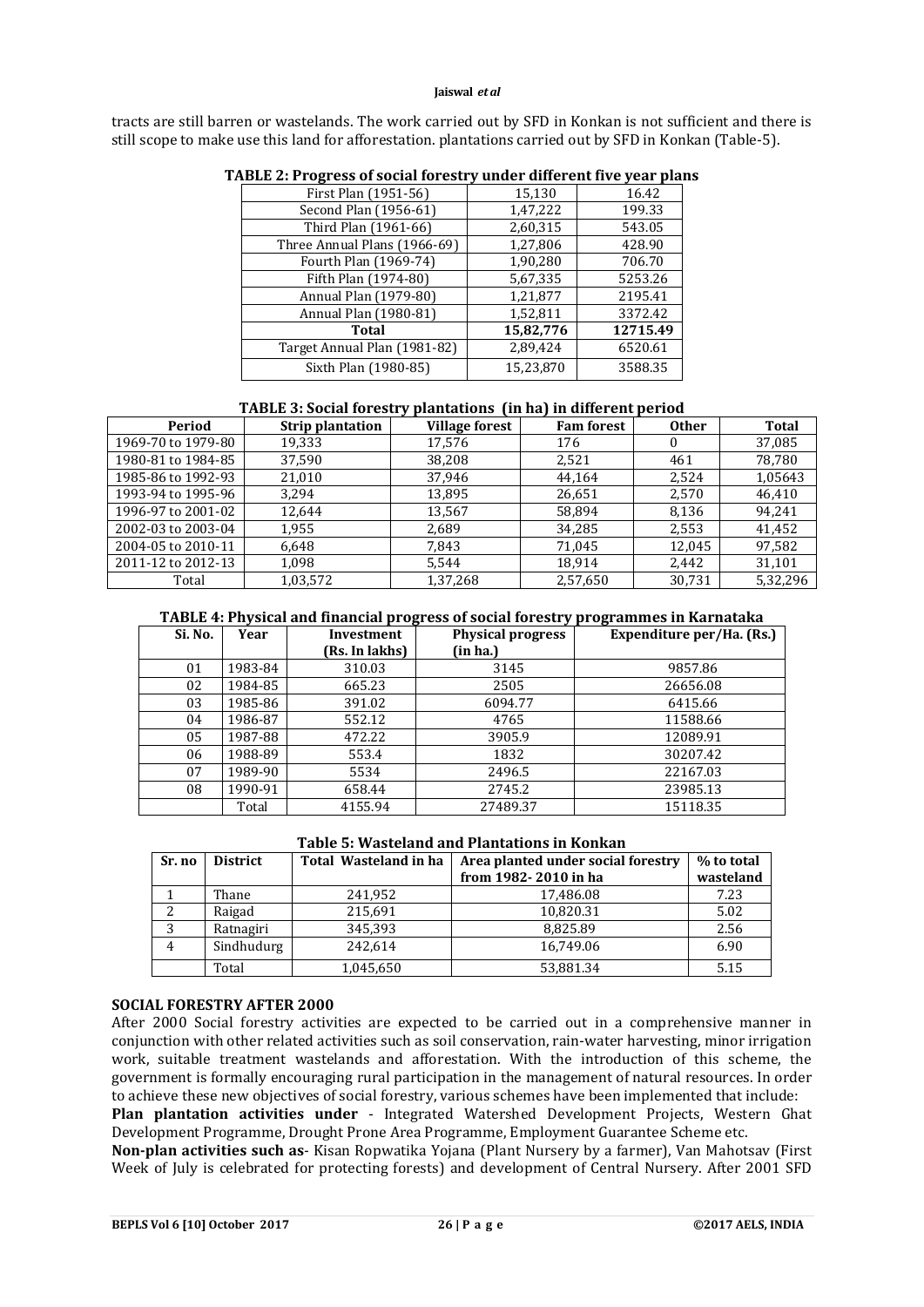tracts are still barren or wastelands. The work carried out by SFD in Konkan is not sufficient and there is still scope to make use this land for afforestation. plantations carried out by SFD in Konkan (Table-5).

| First Plan (1951-56)         | 15,130    | 16.42    |
|------------------------------|-----------|----------|
| Second Plan (1956-61)        | 1,47,222  | 199.33   |
| Third Plan (1961-66)         | 2,60,315  | 543.05   |
| Three Annual Plans (1966-69) | 1,27,806  | 428.90   |
| Fourth Plan (1969-74)        | 1,90,280  | 706.70   |
| Fifth Plan (1974-80)         | 5,67,335  | 5253.26  |
| Annual Plan (1979-80)        | 1,21,877  | 2195.41  |
| Annual Plan (1980-81)        | 1,52,811  | 3372.42  |
| Total                        | 15,82,776 | 12715.49 |
| Target Annual Plan (1981-82) | 2,89,424  | 6520.61  |
| Sixth Plan (1980-85)         | 15.23.870 | 3588.35  |

### **TABLE 2: Progress of social forestry under different five year plans**

# **TABLE 3: Social forestry plantations (in ha) in different period**

| Period             | <b>Strip plantation</b> | <b>Village forest</b> | <b>Fam forest</b> | <b>Other</b> | Total    |
|--------------------|-------------------------|-----------------------|-------------------|--------------|----------|
| 1969-70 to 1979-80 | 19,333                  | 17,576                | 176               |              | 37,085   |
| 1980-81 to 1984-85 | 37,590                  | 38,208                | 2,521             | 461          | 78,780   |
| 1985-86 to 1992-93 | 21.010                  | 37.946                | 44.164            | 2.524        | 1,05643  |
| 1993-94 to 1995-96 | 3,294                   | 13,895                | 26,651            | 2,570        | 46,410   |
| 1996-97 to 2001-02 | 12.644                  | 13,567                | 58,894            | 8,136        | 94,241   |
| 2002-03 to 2003-04 | 1,955                   | 2,689                 | 34,285            | 2,553        | 41,452   |
| 2004-05 to 2010-11 | 6,648                   | 7,843                 | 71,045            | 12,045       | 97,582   |
| 2011-12 to 2012-13 | 1,098                   | 5,544                 | 18.914            | 2,442        | 31,101   |
| Total              | 1,03,572                | 1,37,268              | 2,57,650          | 30.731       | 5,32,296 |

#### **TABLE 4: Physical and financial progress of social forestry programmes in Karnataka**

|         |         | ້              | . .                      | ້                         |
|---------|---------|----------------|--------------------------|---------------------------|
| Si. No. | Year    | Investment     | <b>Physical progress</b> | Expenditure per/Ha. (Rs.) |
|         |         | (Rs. In lakhs) | (in ha.)                 |                           |
| 01      | 1983-84 | 310.03         | 3145                     | 9857.86                   |
| 02      | 1984-85 | 665.23         | 2505                     | 26656.08                  |
| 03      | 1985-86 | 391.02         | 6094.77                  | 6415.66                   |
| 04      | 1986-87 | 552.12         | 4765                     | 11588.66                  |
| 05      | 1987-88 | 472.22         | 3905.9                   | 12089.91                  |
| 06      | 1988-89 | 553.4          | 1832                     | 30207.42                  |
| 07      | 1989-90 | 5534           | 2496.5                   | 22167.03                  |
| 08      | 1990-91 | 658.44         | 2745.2                   | 23985.13                  |
|         | Total   | 4155.94        | 27489.37                 | 15118.35                  |

# **Table 5: Wasteland and Plantations in Konkan**

| Sr. no | <b>District</b> | Total Wasteland in ha | Area planted under social forestry<br>from 1982-2010 in ha | % to total<br>wasteland |
|--------|-----------------|-----------------------|------------------------------------------------------------|-------------------------|
|        | Thane           | 241,952               | 17,486.08                                                  | 7.23                    |
|        | Raigad          | 215,691               | 10,820.31                                                  | 5.02                    |
| 3      | Ratnagiri       | 345,393               | 8,825.89                                                   | 2.56                    |
|        | Sindhudurg      | 242.614               | 16,749.06                                                  | 6.90                    |
|        | Total           | 1,045,650             | 53,881.34                                                  | 5.15                    |

#### **SOCIAL FORESTRY AFTER 2000**

After 2000 Social forestry activities are expected to be carried out in a comprehensive manner in conjunction with other related activities such as soil conservation, rain-water harvesting, minor irrigation work, suitable treatment wastelands and afforestation. With the introduction of this scheme, the government is formally encouraging rural participation in the management of natural resources. In order to achieve these new objectives of social forestry, various schemes have been implemented that include:

**Plan plantation activities under** - Integrated Watershed Development Projects, Western Ghat Development Programme, Drought Prone Area Programme, Employment Guarantee Scheme etc.

**Non-plan activities such as**- Kisan Ropwatika Yojana (Plant Nursery by a farmer), Van Mahotsav (First Week of July is celebrated for protecting forests) and development of Central Nursery. After 2001 SFD